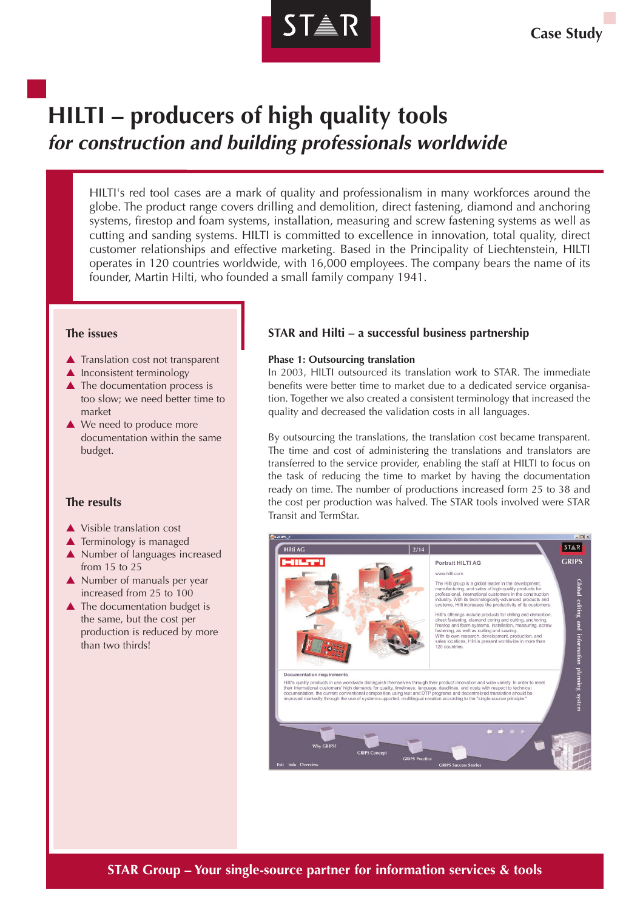

# **HILTI – producers of high quality tools for construction and building professionals worldwide**

HILTI's red tool cases are a mark of quality and professionalism in many workforces around the globe. The product range covers drilling and demolition, direct fastening, diamond and anchoring systems, firestop and foam systems, installation, measuring and screw fastening systems as well as cutting and sanding systems. HILTI is committed to excellence in innovation, total quality, direct customer relationships and effective marketing. Based in the Principality of Liechtenstein, HILTI operates in 120 countries worldwide, with 16,000 employees. The company bears the name of its founder, Martin Hilti, who founded a small family company 1941.

### **The issues**

- $\blacktriangle$  Translation cost not transparent
- $\triangle$  Inconsistent terminology
- $\triangle$  The documentation process is too slow; we need better time to market
- $\triangle$  We need to produce more documentation within the same budget.

## **The results**

- $\triangle$  Visible translation cost
- $\blacktriangle$  Terminology is managed
- $\triangle$  Number of languages increased from 15 to 25
- $\blacktriangle$  Number of manuals per year increased from 25 to 100
- $\triangle$  The documentation budget is the same, but the cost per production is reduced by more than two thirds!

# **STAR and Hilti – a successful business partnership**

## **Phase 1: Outsourcing translation**

In 2003, HILTI outsourced its translation work to STAR. The immediate benefits were better time to market due to a dedicated service organisation. Together we also created a consistent terminology that increased the quality and decreased the validation costs in all languages.

By outsourcing the translations, the translation cost became transparent. The time and cost of administering the translations and translators are transferred to the service provider, enabling the staff at HILTI to focus on the task of reducing the time to market by having the documentation ready on time. The number of productions increased form 25 to 38 and the cost per production was halved. The STAR tools involved were STAR Transit and TermStar.